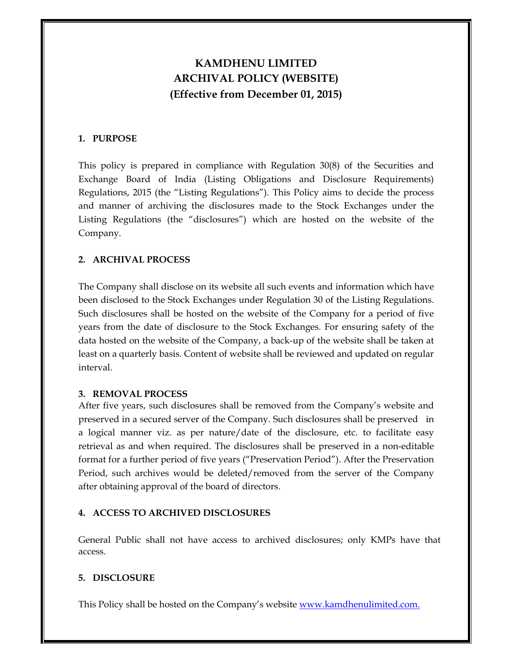# **KAMDHENU LIMITED ARCHIVAL POLICY (WEBSITE) (Effective from December 01, 2015)**

# **1. PURPOSE**

This policy is prepared in compliance with Regulation 30(8) of the Securities and Exchange Board of India (Listing Obligations and Disclosure Requirements) Regulations, 2015 (the "Listing Regulations"). This Policy aims to decide the process and manner of archiving the disclosures made to the Stock Exchanges under the Listing Regulations (the "disclosures") which are hosted on the website of the Company.

# **2. ARCHIVAL PROCESS**

The Company shall disclose on its website all such events and information which have been disclosed to the Stock Exchanges under Regulation 30 of the Listing Regulations. Such disclosures shall be hosted on the website of the Company for a period of five years from the date of disclosure to the Stock Exchanges. For ensuring safety of the data hosted on the website of the Company, a back-up of the website shall be taken at least on a quarterly basis. Content of website shall be reviewed and updated on regular interval.

#### **3. REMOVAL PROCESS**

After five years, such disclosures shall be removed from the Company's website and preserved in a secured server of the Company. Such disclosures shall be preserved in a logical manner viz. as per nature/date of the disclosure, etc. to facilitate easy retrieval as and when required. The disclosures shall be preserved in a non-editable format for a further period of five years ("Preservation Period"). After the Preservation Period, such archives would be deleted/removed from the server of the Company after obtaining approval of the board of directors.

## **4. ACCESS TO ARCHIVED DISCLOSURES**

General Public shall not have access to archived disclosures; only KMPs have that access.

## **5. DISCLOSURE**

This Policy shall be hosted on the Company's website www.kamdhenulimited.com.